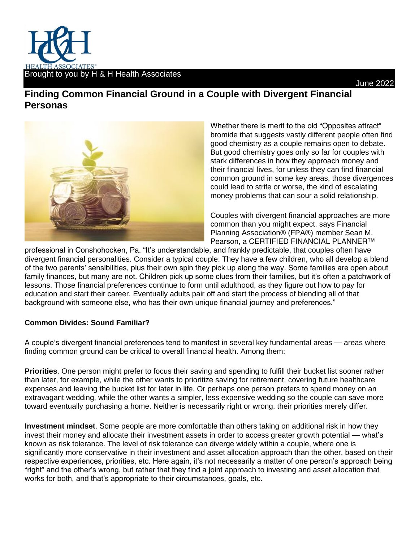

## June 2022

## **Finding Common Financial Ground in a Couple with Divergent Financial Personas**



Whether there is merit to the old "Opposites attract" bromide that suggests vastly different people often find good chemistry as a couple remains open to debate. But good chemistry goes only so far for couples with stark differences in how they approach money and their financial lives, for unless they can find financial common ground in some key areas, those divergences could lead to strife or worse, the kind of escalating money problems that can sour a solid relationship.

Couples with divergent financial approaches are more common than you might expect, says Financial Planning Association® (FPA®) member Sean M. Pearson, a CERTIFIED FINANCIAL PLANNER™

professional in Conshohocken, Pa. "It's understandable, and frankly predictable, that couples often have divergent financial personalities. Consider a typical couple: They have a few children, who all develop a blend of the two parents' sensibilities, plus their own spin they pick up along the way. Some families are open about family finances, but many are not. Children pick up some clues from their families, but it's often a patchwork of lessons. Those financial preferences continue to form until adulthood, as they figure out how to pay for education and start their career. Eventually adults pair off and start the process of blending all of that background with someone else, who has their own unique financial journey and preferences."

## **Common Divides: Sound Familiar?**

A couple's divergent financial preferences tend to manifest in several key fundamental areas — areas where finding common ground can be critical to overall financial health. Among them:

**Priorities**. One person might prefer to focus their saving and spending to fulfill their bucket list sooner rather than later, for example, while the other wants to prioritize saving for retirement, covering future healthcare expenses and leaving the bucket list for later in life. Or perhaps one person prefers to spend money on an extravagant wedding, while the other wants a simpler, less expensive wedding so the couple can save more toward eventually purchasing a home. Neither is necessarily right or wrong, their priorities merely differ.

**Investment mindset**. Some people are more comfortable than others taking on additional risk in how they invest their money and allocate their investment assets in order to access greater growth potential — what's known as risk tolerance. The level of risk tolerance can diverge widely within a couple, where one is significantly more conservative in their investment and asset allocation approach than the other, based on their respective experiences, priorities, etc. Here again, it's not necessarily a matter of one person's approach being "right" and the other's wrong, but rather that they find a joint approach to investing and asset allocation that works for both, and that's appropriate to their circumstances, goals, etc.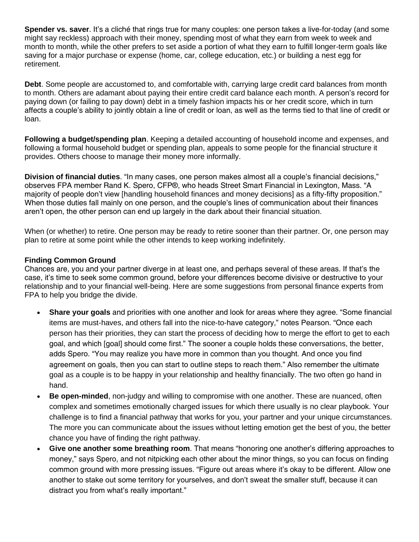**Spender vs. saver**. It's a cliché that rings true for many couples: one person takes a live-for-today (and some might say reckless) approach with their money, spending most of what they earn from week to week and month to month, while the other prefers to set aside a portion of what they earn to fulfill longer-term goals like saving for a major purchase or expense (home, car, college education, etc.) or building a nest egg for retirement.

**Debt**. Some people are accustomed to, and comfortable with, carrying large credit card balances from month to month. Others are adamant about paying their entire credit card balance each month. A person's record for paying down (or failing to pay down) debt in a timely fashion impacts his or her credit score, which in turn affects a couple's ability to jointly obtain a line of credit or loan, as well as the terms tied to that line of credit or loan.

**Following a budget/spending plan**. Keeping a detailed accounting of household income and expenses, and following a formal household budget or spending plan, appeals to some people for the financial structure it provides. Others choose to manage their money more informally.

**Division of financial duties**. "In many cases, one person makes almost all a couple's financial decisions," observes FPA member Rand K. Spero, CFP®, who heads Street Smart Financial in Lexington, Mass. "A majority of people don't view [handling household finances and money decisions] as a fifty-fifty proposition." When those duties fall mainly on one person, and the couple's lines of communication about their finances aren't open, the other person can end up largely in the dark about their financial situation.

When (or whether) to retire. One person may be ready to retire sooner than their partner. Or, one person may plan to retire at some point while the other intends to keep working indefinitely.

## **Finding Common Ground**

Chances are, you and your partner diverge in at least one, and perhaps several of these areas. If that's the case, it's time to seek some common ground, before your differences become divisive or destructive to your relationship and to your financial well-being. Here are some suggestions from personal finance experts from FPA to help you bridge the divide.

- **Share your goals** and priorities with one another and look for areas where they agree. "Some financial items are must-haves, and others fall into the nice-to-have category," notes Pearson. "Once each person has their priorities, they can start the process of deciding how to merge the effort to get to each goal, and which [goal] should come first." The sooner a couple holds these conversations, the better, adds Spero. "You may realize you have more in common than you thought. And once you find agreement on goals, then you can start to outline steps to reach them." Also remember the ultimate goal as a couple is to be happy in your relationship and healthy financially. The two often go hand in hand.
- **Be open-minded**, non-judgy and willing to compromise with one another. These are nuanced, often complex and sometimes emotionally charged issues for which there usually is no clear playbook. Your challenge is to find a financial pathway that works for you, your partner and your unique circumstances. The more you can communicate about the issues without letting emotion get the best of you, the better chance you have of finding the right pathway.
- **Give one another some breathing room**. That means "honoring one another's differing approaches to money," says Spero, and not nitpicking each other about the minor things, so you can focus on finding common ground with more pressing issues. "Figure out areas where it's okay to be different. Allow one another to stake out some territory for yourselves, and don't sweat the smaller stuff, because it can distract you from what's really important."